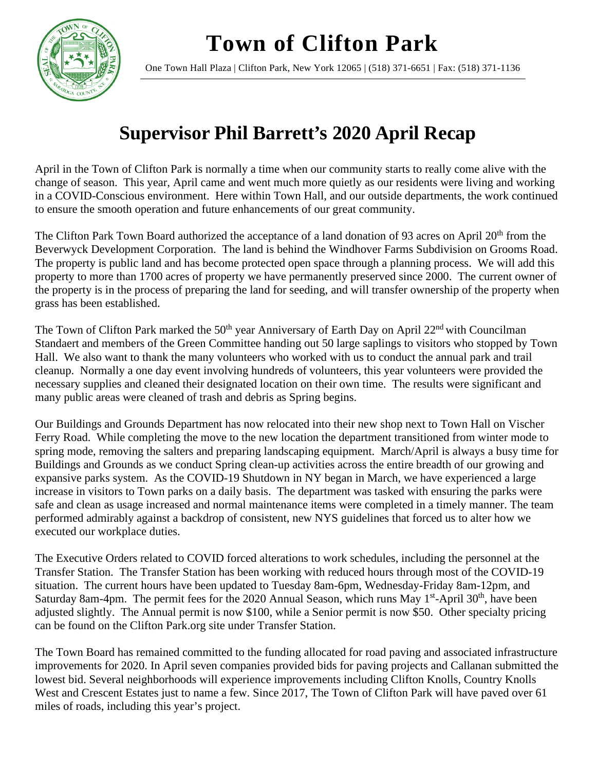**Town of Clifton Park**



One Town Hall Plaza | Clifton Park, New York 12065 | (518) 371-6651 | Fax: (518) 371-1136

## **Supervisor Phil Barrett's 2020 April Recap**

April in the Town of Clifton Park is normally a time when our community starts to really come alive with the change of season. This year, April came and went much more quietly as our residents were living and working in a COVID-Conscious environment. Here within Town Hall, and our outside departments, the work continued to ensure the smooth operation and future enhancements of our great community.

The Clifton Park Town Board authorized the acceptance of a land donation of 93 acres on April 20<sup>th</sup> from the Beverwyck Development Corporation. The land is behind the Windhover Farms Subdivision on Grooms Road. The property is public land and has become protected open space through a planning process. We will add this property to more than 1700 acres of property we have permanently preserved since 2000. The current owner of the property is in the process of preparing the land for seeding, and will transfer ownership of the property when grass has been established.

The Town of Clifton Park marked the  $50<sup>th</sup>$  year Anniversary of Earth Day on April  $22<sup>nd</sup>$  with Councilman Standaert and members of the Green Committee handing out 50 large saplings to visitors who stopped by Town Hall. We also want to thank the many volunteers who worked with us to conduct the annual park and trail cleanup. Normally a one day event involving hundreds of volunteers, this year volunteers were provided the necessary supplies and cleaned their designated location on their own time. The results were significant and many public areas were cleaned of trash and debris as Spring begins.

Our Buildings and Grounds Department has now relocated into their new shop next to Town Hall on Vischer Ferry Road. While completing the move to the new location the department transitioned from winter mode to spring mode, removing the salters and preparing landscaping equipment. March/April is always a busy time for Buildings and Grounds as we conduct Spring clean-up activities across the entire breadth of our growing and expansive parks system. As the COVID-19 Shutdown in NY began in March, we have experienced a large increase in visitors to Town parks on a daily basis. The department was tasked with ensuring the parks were safe and clean as usage increased and normal maintenance items were completed in a timely manner. The team performed admirably against a backdrop of consistent, new NYS guidelines that forced us to alter how we executed our workplace duties.

The Executive Orders related to COVID forced alterations to work schedules, including the personnel at the Transfer Station. The Transfer Station has been working with reduced hours through most of the COVID-19 situation. The current hours have been updated to Tuesday 8am-6pm, Wednesday-Friday 8am-12pm, and Saturday 8am-4pm. The permit fees for the 2020 Annual Season, which runs May  $1<sup>st</sup>$ -April 30<sup>th</sup>, have been adjusted slightly. The Annual permit is now \$100, while a Senior permit is now \$50. Other specialty pricing can be found on the Clifton Park.org site under Transfer Station.

The Town Board has remained committed to the funding allocated for road paving and associated infrastructure improvements for 2020. In April seven companies provided bids for paving projects and Callanan submitted the lowest bid. Several neighborhoods will experience improvements including Clifton Knolls, Country Knolls West and Crescent Estates just to name a few. Since 2017, The Town of Clifton Park will have paved over 61 miles of roads, including this year's project.